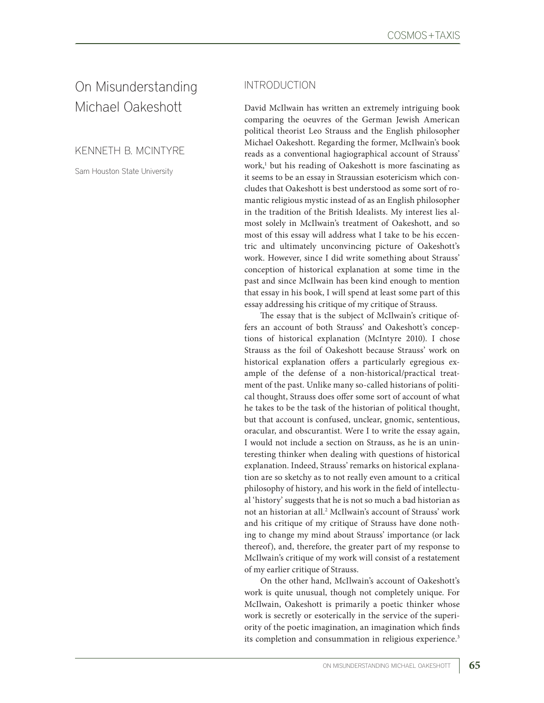# On Misunderstanding Michael Oakeshott

KENNETH B. MCINTYRE

Sam Houston State University

### INTRODUCTION

David McIlwain has written an extremely intriguing book comparing the oeuvres of the German Jewish American political theorist Leo Strauss and the English philosopher Michael Oakeshott. Regarding the former, McIlwain's book reads as a conventional hagiographical account of Strauss' work,1 but his reading of Oakeshott is more fascinating as it seems to be an essay in Straussian esotericism which concludes that Oakeshott is best understood as some sort of romantic religious mystic instead of as an English philosopher in the tradition of the British Idealists. My interest lies almost solely in McIlwain's treatment of Oakeshott, and so most of this essay will address what I take to be his eccentric and ultimately unconvincing picture of Oakeshott's work. However, since I did write something about Strauss' conception of historical explanation at some time in the past and since McIlwain has been kind enough to mention that essay in his book, I will spend at least some part of this essay addressing his critique of my critique of Strauss.

The essay that is the subject of McIlwain's critique offers an account of both Strauss' and Oakeshott's conceptions of historical explanation (McIntyre 2010). I chose Strauss as the foil of Oakeshott because Strauss' work on historical explanation offers a particularly egregious example of the defense of a non-historical/practical treatment of the past. Unlike many so-called historians of political thought, Strauss does offer some sort of account of what he takes to be the task of the historian of political thought, but that account is confused, unclear, gnomic, sententious, oracular, and obscurantist. Were I to write the essay again, I would not include a section on Strauss, as he is an uninteresting thinker when dealing with questions of historical explanation. Indeed, Strauss' remarks on historical explanation are so sketchy as to not really even amount to a critical philosophy of history, and his work in the field of intellectual 'history' suggests that he is not so much a bad historian as not an historian at all.2 McIlwain's account of Strauss' work and his critique of my critique of Strauss have done nothing to change my mind about Strauss' importance (or lack thereof), and, therefore, the greater part of my response to McIlwain's critique of my work will consist of a restatement of my earlier critique of Strauss.

On the other hand, McIlwain's account of Oakeshott's work is quite unusual, though not completely unique. For McIlwain, Oakeshott is primarily a poetic thinker whose work is secretly or esoterically in the service of the superiority of the poetic imagination, an imagination which finds its completion and consummation in religious experience.<sup>3</sup>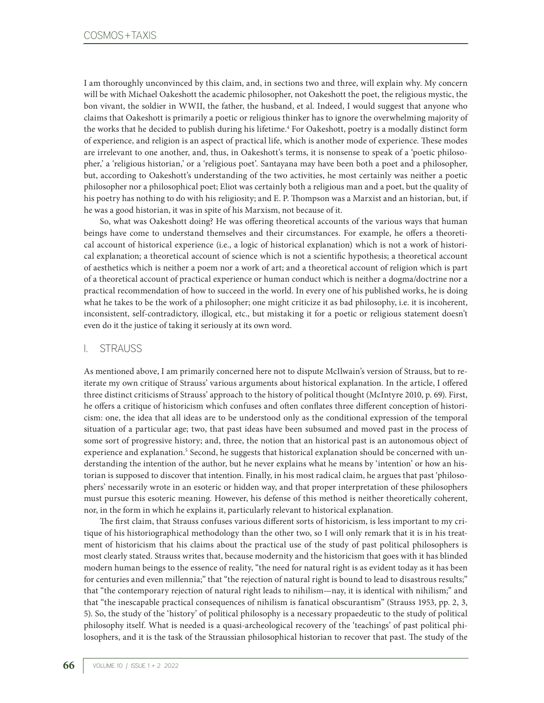I am thoroughly unconvinced by this claim, and, in sections two and three, will explain why. My concern will be with Michael Oakeshott the academic philosopher, not Oakeshott the poet, the religious mystic, the bon vivant, the soldier in WWII, the father, the husband, et al. Indeed, I would suggest that anyone who claims that Oakeshott is primarily a poetic or religious thinker has to ignore the overwhelming majority of the works that he decided to publish during his lifetime.<sup>4</sup> For Oakeshott, poetry is a modally distinct form of experience, and religion is an aspect of practical life, which is another mode of experience. These modes are irrelevant to one another, and, thus, in Oakeshott's terms, it is nonsense to speak of a 'poetic philosopher,' a 'religious historian,' or a 'religious poet'. Santayana may have been both a poet and a philosopher, but, according to Oakeshott's understanding of the two activities, he most certainly was neither a poetic philosopher nor a philosophical poet; Eliot was certainly both a religious man and a poet, but the quality of his poetry has nothing to do with his religiosity; and E. P. Thompson was a Marxist and an historian, but, if he was a good historian, it was in spite of his Marxism, not because of it.

So, what was Oakeshott doing? He was offering theoretical accounts of the various ways that human beings have come to understand themselves and their circumstances. For example, he offers a theoretical account of historical experience (i.e., a logic of historical explanation) which is not a work of historical explanation; a theoretical account of science which is not a scientific hypothesis; a theoretical account of aesthetics which is neither a poem nor a work of art; and a theoretical account of religion which is part of a theoretical account of practical experience or human conduct which is neither a dogma/doctrine nor a practical recommendation of how to succeed in the world. In every one of his published works, he is doing what he takes to be the work of a philosopher; one might criticize it as bad philosophy, i.e. it is incoherent, inconsistent, self-contradictory, illogical, etc., but mistaking it for a poetic or religious statement doesn't even do it the justice of taking it seriously at its own word.

#### I. STRAUSS

As mentioned above, I am primarily concerned here not to dispute McIlwain's version of Strauss, but to reiterate my own critique of Strauss' various arguments about historical explanation. In the article, I offered three distinct criticisms of Strauss' approach to the history of political thought (McIntyre 2010, p. 69). First, he offers a critique of historicism which confuses and often conflates three different conception of historicism: one, the idea that all ideas are to be understood only as the conditional expression of the temporal situation of a particular age; two, that past ideas have been subsumed and moved past in the process of some sort of progressive history; and, three, the notion that an historical past is an autonomous object of experience and explanation.<sup>5</sup> Second, he suggests that historical explanation should be concerned with understanding the intention of the author, but he never explains what he means by 'intention' or how an historian is supposed to discover that intention. Finally, in his most radical claim, he argues that past 'philosophers' necessarily wrote in an esoteric or hidden way, and that proper interpretation of these philosophers must pursue this esoteric meaning. However, his defense of this method is neither theoretically coherent, nor, in the form in which he explains it, particularly relevant to historical explanation.

The first claim, that Strauss confuses various different sorts of historicism, is less important to my critique of his historiographical methodology than the other two, so I will only remark that it is in his treatment of historicism that his claims about the practical use of the study of past political philosophers is most clearly stated. Strauss writes that, because modernity and the historicism that goes with it has blinded modern human beings to the essence of reality, "the need for natural right is as evident today as it has been for centuries and even millennia;" that "the rejection of natural right is bound to lead to disastrous results;" that "the contemporary rejection of natural right leads to nihilism—nay, it is identical with nihilism;" and that "the inescapable practical consequences of nihilism is fanatical obscurantism" (Strauss 1953, pp. 2, 3, 5). So, the study of the 'history' of political philosophy is a necessary propaedeutic to the study of political philosophy itself. What is needed is a quasi-archeological recovery of the 'teachings' of past political philosophers, and it is the task of the Straussian philosophical historian to recover that past. The study of the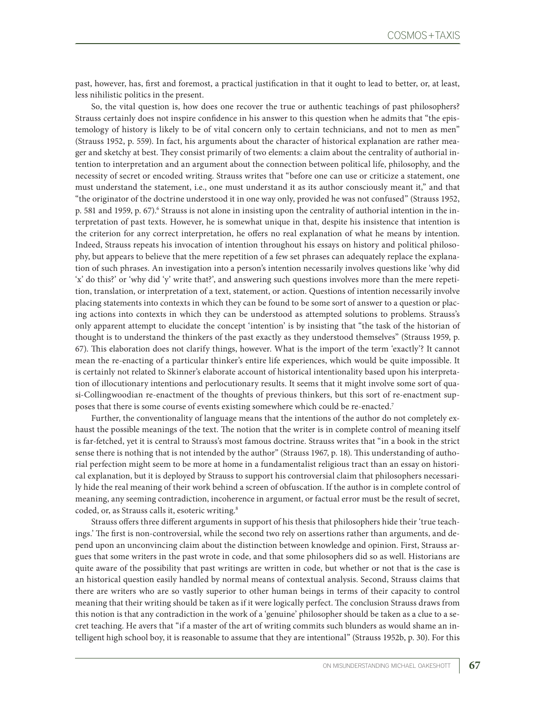past, however, has, first and foremost, a practical justification in that it ought to lead to better, or, at least, less nihilistic politics in the present.

So, the vital question is, how does one recover the true or authentic teachings of past philosophers? Strauss certainly does not inspire confidence in his answer to this question when he admits that "the epistemology of history is likely to be of vital concern only to certain technicians, and not to men as men" (Strauss 1952, p. 559). In fact, his arguments about the character of historical explanation are rather meager and sketchy at best. They consist primarily of two elements: a claim about the centrality of authorial intention to interpretation and an argument about the connection between political life, philosophy, and the necessity of secret or encoded writing. Strauss writes that "before one can use or criticize a statement, one must understand the statement, i.e., one must understand it as its author consciously meant it," and that "the originator of the doctrine understood it in one way only, provided he was not confused" (Strauss 1952, p. 581 and 1959, p. 67).<sup>6</sup> Strauss is not alone in insisting upon the centrality of authorial intention in the interpretation of past texts. However, he is somewhat unique in that, despite his insistence that intention is the criterion for any correct interpretation, he offers no real explanation of what he means by intention. Indeed, Strauss repeats his invocation of intention throughout his essays on history and political philosophy, but appears to believe that the mere repetition of a few set phrases can adequately replace the explanation of such phrases. An investigation into a person's intention necessarily involves questions like 'why did 'x' do this?' or 'why did 'y' write that?', and answering such questions involves more than the mere repetition, translation, or interpretation of a text, statement, or action. Questions of intention necessarily involve placing statements into contexts in which they can be found to be some sort of answer to a question or placing actions into contexts in which they can be understood as attempted solutions to problems. Strauss's only apparent attempt to elucidate the concept 'intention' is by insisting that "the task of the historian of thought is to understand the thinkers of the past exactly as they understood themselves" (Strauss 1959, p. 67). This elaboration does not clarify things, however. What is the import of the term 'exactly'? It cannot mean the re-enacting of a particular thinker's entire life experiences, which would be quite impossible. It is certainly not related to Skinner's elaborate account of historical intentionality based upon his interpretation of illocutionary intentions and perlocutionary results. It seems that it might involve some sort of quasi-Collingwoodian re-enactment of the thoughts of previous thinkers, but this sort of re-enactment supposes that there is some course of events existing somewhere which could be re-enacted.7

Further, the conventionality of language means that the intentions of the author do not completely exhaust the possible meanings of the text. The notion that the writer is in complete control of meaning itself is far-fetched, yet it is central to Strauss's most famous doctrine. Strauss writes that "in a book in the strict sense there is nothing that is not intended by the author" (Strauss 1967, p. 18). This understanding of authorial perfection might seem to be more at home in a fundamentalist religious tract than an essay on historical explanation, but it is deployed by Strauss to support his controversial claim that philosophers necessarily hide the real meaning of their work behind a screen of obfuscation. If the author is in complete control of meaning, any seeming contradiction, incoherence in argument, or factual error must be the result of secret, coded, or, as Strauss calls it, esoteric writing.8

Strauss offers three different arguments in support of his thesis that philosophers hide their 'true teachings.' The first is non-controversial, while the second two rely on assertions rather than arguments, and depend upon an unconvincing claim about the distinction between knowledge and opinion. First, Strauss argues that some writers in the past wrote in code, and that some philosophers did so as well. Historians are quite aware of the possibility that past writings are written in code, but whether or not that is the case is an historical question easily handled by normal means of contextual analysis. Second, Strauss claims that there are writers who are so vastly superior to other human beings in terms of their capacity to control meaning that their writing should be taken as if it were logically perfect. The conclusion Strauss draws from this notion is that any contradiction in the work of a 'genuine' philosopher should be taken as a clue to a secret teaching. He avers that "if a master of the art of writing commits such blunders as would shame an intelligent high school boy, it is reasonable to assume that they are intentional" (Strauss 1952b, p. 30). For this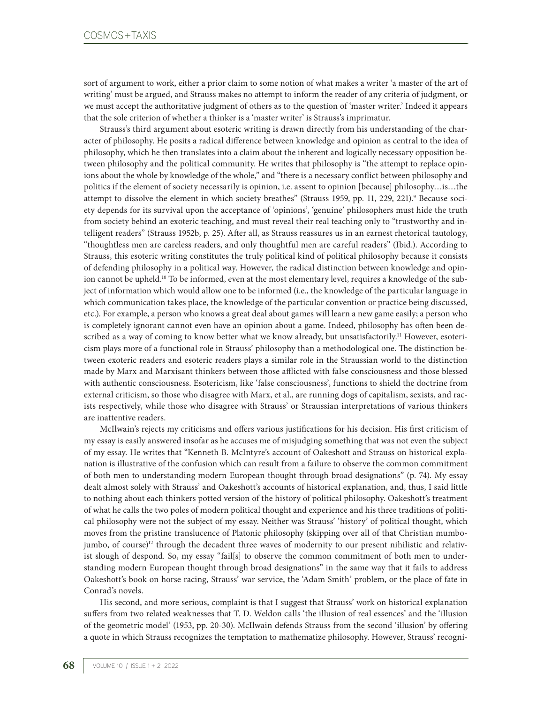sort of argument to work, either a prior claim to some notion of what makes a writer 'a master of the art of writing' must be argued, and Strauss makes no attempt to inform the reader of any criteria of judgment, or we must accept the authoritative judgment of others as to the question of 'master writer.' Indeed it appears that the sole criterion of whether a thinker is a 'master writer' is Strauss's imprimatur.

Strauss's third argument about esoteric writing is drawn directly from his understanding of the character of philosophy. He posits a radical difference between knowledge and opinion as central to the idea of philosophy, which he then translates into a claim about the inherent and logically necessary opposition between philosophy and the political community. He writes that philosophy is "the attempt to replace opinions about the whole by knowledge of the whole," and "there is a necessary conflict between philosophy and politics if the element of society necessarily is opinion, i.e. assent to opinion [because] philosophy…is…the attempt to dissolve the element in which society breathes" (Strauss 1959, pp. 11, 229, 221).<sup>9</sup> Because society depends for its survival upon the acceptance of 'opinions', 'genuine' philosophers must hide the truth from society behind an exoteric teaching, and must reveal their real teaching only to "trustworthy and intelligent readers" (Strauss 1952b, p. 25). After all, as Strauss reassures us in an earnest rhetorical tautology, "thoughtless men are careless readers, and only thoughtful men are careful readers" (Ibid.). According to Strauss, this esoteric writing constitutes the truly political kind of political philosophy because it consists of defending philosophy in a political way. However, the radical distinction between knowledge and opinion cannot be upheld.<sup>10</sup> To be informed, even at the most elementary level, requires a knowledge of the subject of information which would allow one to be informed (i.e., the knowledge of the particular language in which communication takes place, the knowledge of the particular convention or practice being discussed, etc.). For example, a person who knows a great deal about games will learn a new game easily; a person who is completely ignorant cannot even have an opinion about a game. Indeed, philosophy has often been described as a way of coming to know better what we know already, but unsatisfactorily.<sup>11</sup> However, esotericism plays more of a functional role in Strauss' philosophy than a methodological one. The distinction between exoteric readers and esoteric readers plays a similar role in the Straussian world to the distinction made by Marx and Marxisant thinkers between those afflicted with false consciousness and those blessed with authentic consciousness. Esotericism, like 'false consciousness', functions to shield the doctrine from external criticism, so those who disagree with Marx, et al., are running dogs of capitalism, sexists, and racists respectively, while those who disagree with Strauss' or Straussian interpretations of various thinkers are inattentive readers.

McIlwain's rejects my criticisms and offers various justifications for his decision. His first criticism of my essay is easily answered insofar as he accuses me of misjudging something that was not even the subject of my essay. He writes that "Kenneth B. McIntyre's account of Oakeshott and Strauss on historical explanation is illustrative of the confusion which can result from a failure to observe the common commitment of both men to understanding modern European thought through broad designations" (p. 74). My essay dealt almost solely with Strauss' and Oakeshott's accounts of historical explanation, and, thus, I said little to nothing about each thinkers potted version of the history of political philosophy. Oakeshott's treatment of what he calls the two poles of modern political thought and experience and his three traditions of political philosophy were not the subject of my essay. Neither was Strauss' 'history' of political thought, which moves from the pristine translucence of Platonic philosophy (skipping over all of that Christian mumbojumbo, of course)<sup>12</sup> through the decadent three waves of modernity to our present nihilistic and relativist slough of despond. So, my essay "fail[s] to observe the common commitment of both men to understanding modern European thought through broad designations" in the same way that it fails to address Oakeshott's book on horse racing, Strauss' war service, the 'Adam Smith' problem, or the place of fate in Conrad's novels.

His second, and more serious, complaint is that I suggest that Strauss' work on historical explanation suffers from two related weaknesses that T. D. Weldon calls 'the illusion of real essences' and the 'illusion of the geometric model' (1953, pp. 20-30). McIlwain defends Strauss from the second 'illusion' by offering a quote in which Strauss recognizes the temptation to mathematize philosophy. However, Strauss' recogni-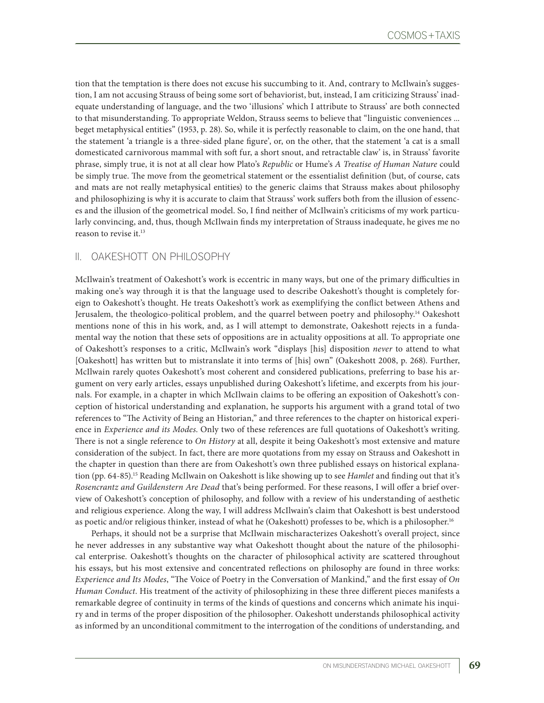tion that the temptation is there does not excuse his succumbing to it. And, contrary to McIlwain's suggestion, I am not accusing Strauss of being some sort of behaviorist, but, instead, I am criticizing Strauss' inadequate understanding of language, and the two 'illusions' which I attribute to Strauss' are both connected to that misunderstanding. To appropriate Weldon, Strauss seems to believe that "linguistic conveniences ... beget metaphysical entities" (1953, p. 28). So, while it is perfectly reasonable to claim, on the one hand, that the statement 'a triangle is a three-sided plane figure', or, on the other, that the statement 'a cat is a small domesticated carnivorous mammal with soft fur, a short snout, and retractable claw' is, in Strauss' favorite phrase, simply true, it is not at all clear how Plato's *Republic* or Hume's *A Treatise of Human Nature* could be simply true. The move from the geometrical statement or the essentialist definition (but, of course, cats and mats are not really metaphysical entities) to the generic claims that Strauss makes about philosophy and philosophizing is why it is accurate to claim that Strauss' work suffers both from the illusion of essences and the illusion of the geometrical model. So, I find neither of McIlwain's criticisms of my work particularly convincing, and, thus, though McIlwain finds my interpretation of Strauss inadequate, he gives me no reason to revise it.<sup>13</sup>

## II. OAKESHOTT ON PHILOSOPHY

McIlwain's treatment of Oakeshott's work is eccentric in many ways, but one of the primary difficulties in making one's way through it is that the language used to describe Oakeshott's thought is completely foreign to Oakeshott's thought. He treats Oakeshott's work as exemplifying the conflict between Athens and Jerusalem, the theologico-political problem, and the quarrel between poetry and philosophy.14 Oakeshott mentions none of this in his work, and, as I will attempt to demonstrate, Oakeshott rejects in a fundamental way the notion that these sets of oppositions are in actuality oppositions at all. To appropriate one of Oakeshott's responses to a critic, McIlwain's work "displays [his] disposition *never* to attend to what [Oakeshott] has written but to mistranslate it into terms of [his] own" (Oakeshott 2008, p. 268). Further, McIlwain rarely quotes Oakeshott's most coherent and considered publications, preferring to base his argument on very early articles, essays unpublished during Oakeshott's lifetime, and excerpts from his journals. For example, in a chapter in which McIlwain claims to be offering an exposition of Oakeshott's conception of historical understanding and explanation, he supports his argument with a grand total of two references to "The Activity of Being an Historian," and three references to the chapter on historical experience in *Experience and its Modes*. Only two of these references are full quotations of Oakeshott's writing. There is not a single reference to *On History* at all, despite it being Oakeshott's most extensive and mature consideration of the subject. In fact, there are more quotations from my essay on Strauss and Oakeshott in the chapter in question than there are from Oakeshott's own three published essays on historical explanation (pp. 64-85).15 Reading McIlwain on Oakeshott is like showing up to see *Hamlet* and finding out that it's *Rosencrantz and Guildenstern Are Dead* that's being performed. For these reasons, I will offer a brief overview of Oakeshott's conception of philosophy, and follow with a review of his understanding of aesthetic and religious experience. Along the way, I will address McIlwain's claim that Oakeshott is best understood as poetic and/or religious thinker, instead of what he (Oakeshott) professes to be, which is a philosopher.<sup>16</sup>

Perhaps, it should not be a surprise that McIlwain mischaracterizes Oakeshott's overall project, since he never addresses in any substantive way what Oakeshott thought about the nature of the philosophical enterprise. Oakeshott's thoughts on the character of philosophical activity are scattered throughout his essays, but his most extensive and concentrated reflections on philosophy are found in three works: *Experience and Its Modes*, "The Voice of Poetry in the Conversation of Mankind," and the first essay of *On Human Conduct*. His treatment of the activity of philosophizing in these three different pieces manifests a remarkable degree of continuity in terms of the kinds of questions and concerns which animate his inquiry and in terms of the proper disposition of the philosopher. Oakeshott understands philosophical activity as informed by an unconditional commitment to the interrogation of the conditions of understanding, and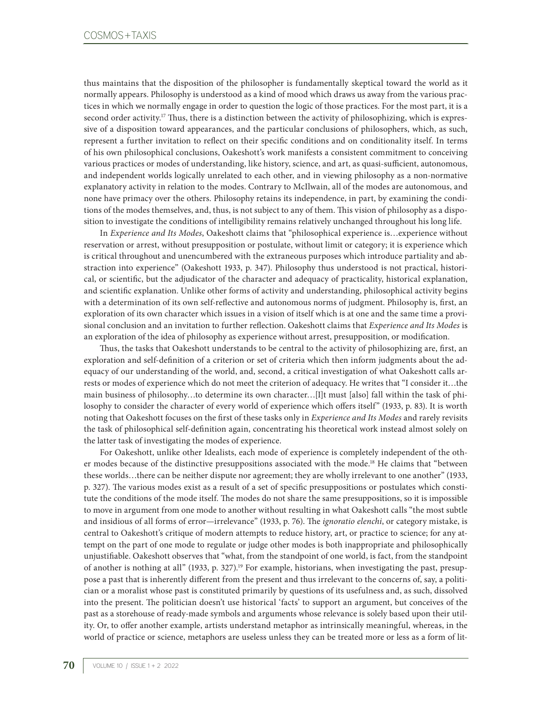thus maintains that the disposition of the philosopher is fundamentally skeptical toward the world as it normally appears. Philosophy is understood as a kind of mood which draws us away from the various practices in which we normally engage in order to question the logic of those practices. For the most part, it is a second order activity.<sup>17</sup> Thus, there is a distinction between the activity of philosophizing, which is expressive of a disposition toward appearances, and the particular conclusions of philosophers, which, as such, represent a further invitation to reflect on their specific conditions and on conditionality itself. In terms of his own philosophical conclusions, Oakeshott's work manifests a consistent commitment to conceiving various practices or modes of understanding, like history, science, and art, as quasi-sufficient, autonomous, and independent worlds logically unrelated to each other, and in viewing philosophy as a non-normative explanatory activity in relation to the modes. Contrary to McIlwain, all of the modes are autonomous, and none have primacy over the others. Philosophy retains its independence, in part, by examining the conditions of the modes themselves, and, thus, is not subject to any of them. This vision of philosophy as a disposition to investigate the conditions of intelligibility remains relatively unchanged throughout his long life.

In *Experience and Its Modes*, Oakeshott claims that "philosophical experience is…experience without reservation or arrest, without presupposition or postulate, without limit or category; it is experience which is critical throughout and unencumbered with the extraneous purposes which introduce partiality and abstraction into experience" (Oakeshott 1933, p. 347). Philosophy thus understood is not practical, historical, or scientific, but the adjudicator of the character and adequacy of practicality, historical explanation, and scientific explanation. Unlike other forms of activity and understanding, philosophical activity begins with a determination of its own self-reflective and autonomous norms of judgment. Philosophy is, first, an exploration of its own character which issues in a vision of itself which is at one and the same time a provisional conclusion and an invitation to further reflection. Oakeshott claims that *Experience and Its Modes* is an exploration of the idea of philosophy as experience without arrest, presupposition, or modification.

Thus, the tasks that Oakeshott understands to be central to the activity of philosophizing are, first, an exploration and self-definition of a criterion or set of criteria which then inform judgments about the adequacy of our understanding of the world, and, second, a critical investigation of what Oakeshott calls arrests or modes of experience which do not meet the criterion of adequacy. He writes that "I consider it…the main business of philosophy…to determine its own character…[I]t must [also] fall within the task of philosophy to consider the character of every world of experience which offers itself" (1933, p. 83). It is worth noting that Oakeshott focuses on the first of these tasks only in *Experience and Its Modes* and rarely revisits the task of philosophical self-definition again, concentrating his theoretical work instead almost solely on the latter task of investigating the modes of experience.

For Oakeshott, unlike other Idealists, each mode of experience is completely independent of the other modes because of the distinctive presuppositions associated with the mode.<sup>18</sup> He claims that "between these worlds…there can be neither dispute nor agreement; they are wholly irrelevant to one another" (1933, p. 327). The various modes exist as a result of a set of specific presuppositions or postulates which constitute the conditions of the mode itself. The modes do not share the same presuppositions, so it is impossible to move in argument from one mode to another without resulting in what Oakeshott calls "the most subtle and insidious of all forms of error—irrelevance" (1933, p. 76). The *ignoratio elenchi*, or category mistake, is central to Oakeshott's critique of modern attempts to reduce history, art, or practice to science; for any attempt on the part of one mode to regulate or judge other modes is both inappropriate and philosophically unjustifiable. Oakeshott observes that "what, from the standpoint of one world, is fact, from the standpoint of another is nothing at all" (1933, p. 327).19 For example, historians, when investigating the past, presuppose a past that is inherently different from the present and thus irrelevant to the concerns of, say, a politician or a moralist whose past is constituted primarily by questions of its usefulness and, as such, dissolved into the present. The politician doesn't use historical 'facts' to support an argument, but conceives of the past as a storehouse of ready-made symbols and arguments whose relevance is solely based upon their utility. Or, to offer another example, artists understand metaphor as intrinsically meaningful, whereas, in the world of practice or science, metaphors are useless unless they can be treated more or less as a form of lit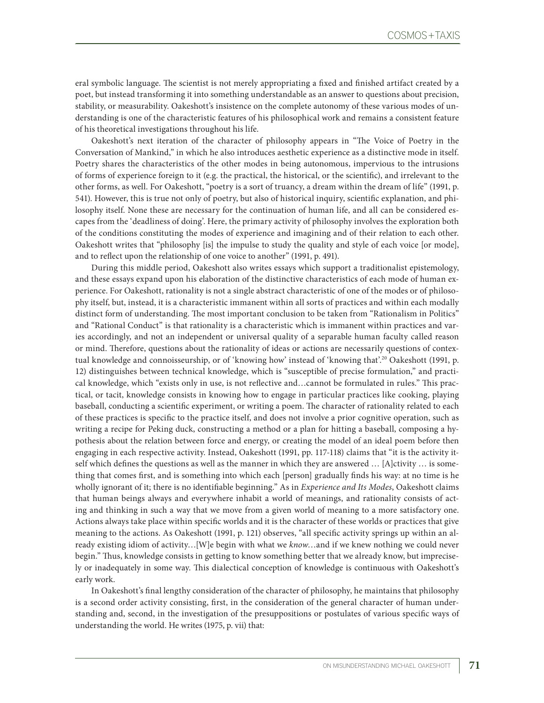eral symbolic language. The scientist is not merely appropriating a fixed and finished artifact created by a poet, but instead transforming it into something understandable as an answer to questions about precision, stability, or measurability. Oakeshott's insistence on the complete autonomy of these various modes of understanding is one of the characteristic features of his philosophical work and remains a consistent feature of his theoretical investigations throughout his life.

Oakeshott's next iteration of the character of philosophy appears in "The Voice of Poetry in the Conversation of Mankind," in which he also introduces aesthetic experience as a distinctive mode in itself. Poetry shares the characteristics of the other modes in being autonomous, impervious to the intrusions of forms of experience foreign to it (e.g. the practical, the historical, or the scientific), and irrelevant to the other forms, as well. For Oakeshott, "poetry is a sort of truancy, a dream within the dream of life" (1991, p. 541). However, this is true not only of poetry, but also of historical inquiry, scientific explanation, and philosophy itself. None these are necessary for the continuation of human life, and all can be considered escapes from the 'deadliness of doing'. Here, the primary activity of philosophy involves the exploration both of the conditions constituting the modes of experience and imagining and of their relation to each other. Oakeshott writes that "philosophy [is] the impulse to study the quality and style of each voice [or mode], and to reflect upon the relationship of one voice to another" (1991, p. 491).

During this middle period, Oakeshott also writes essays which support a traditionalist epistemology, and these essays expand upon his elaboration of the distinctive characteristics of each mode of human experience. For Oakeshott, rationality is not a single abstract characteristic of one of the modes or of philosophy itself, but, instead, it is a characteristic immanent within all sorts of practices and within each modally distinct form of understanding. The most important conclusion to be taken from "Rationalism in Politics" and "Rational Conduct" is that rationality is a characteristic which is immanent within practices and varies accordingly, and not an independent or universal quality of a separable human faculty called reason or mind. Therefore, questions about the rationality of ideas or actions are necessarily questions of contextual knowledge and connoisseurship, or of 'knowing how' instead of 'knowing that'.20 Oakeshott (1991, p. 12) distinguishes between technical knowledge, which is "susceptible of precise formulation," and practical knowledge, which "exists only in use, is not reflective and…cannot be formulated in rules." This practical, or tacit, knowledge consists in knowing how to engage in particular practices like cooking, playing baseball, conducting a scientific experiment, or writing a poem. The character of rationality related to each of these practices is specific to the practice itself, and does not involve a prior cognitive operation, such as writing a recipe for Peking duck, constructing a method or a plan for hitting a baseball, composing a hypothesis about the relation between force and energy, or creating the model of an ideal poem before then engaging in each respective activity. Instead, Oakeshott (1991, pp. 117-118) claims that "it is the activity itself which defines the questions as well as the manner in which they are answered … [A]ctivity … is something that comes first, and is something into which each [person] gradually finds his way: at no time is he wholly ignorant of it; there is no identifiable beginning." As in *Experience and Its Modes*, Oakeshott claims that human beings always and everywhere inhabit a world of meanings, and rationality consists of acting and thinking in such a way that we move from a given world of meaning to a more satisfactory one. Actions always take place within specific worlds and it is the character of these worlds or practices that give meaning to the actions. As Oakeshott (1991, p. 121) observes, "all specific activity springs up within an already existing idiom of activity…[W]e begin with what we *know*…and if we knew nothing we could never begin." Thus, knowledge consists in getting to know something better that we already know, but imprecisely or inadequately in some way. This dialectical conception of knowledge is continuous with Oakeshott's early work.

In Oakeshott's final lengthy consideration of the character of philosophy, he maintains that philosophy is a second order activity consisting, first, in the consideration of the general character of human understanding and, second, in the investigation of the presuppositions or postulates of various specific ways of understanding the world. He writes (1975, p. vii) that: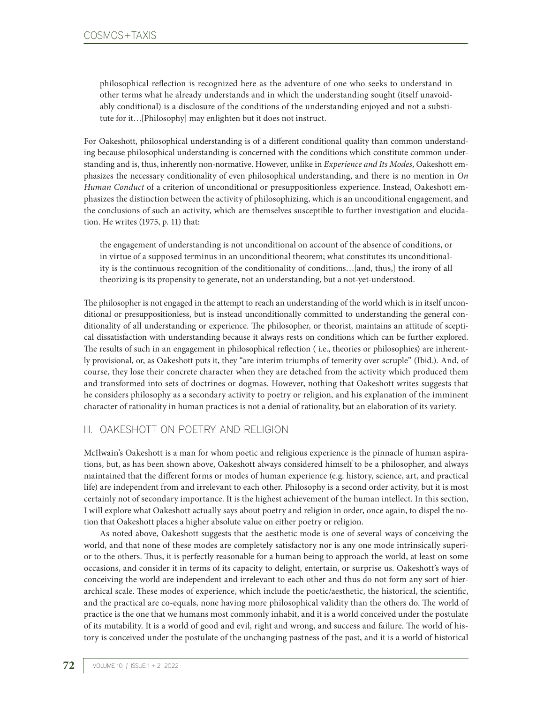philosophical reflection is recognized here as the adventure of one who seeks to understand in other terms what he already understands and in which the understanding sought (itself unavoidably conditional) is a disclosure of the conditions of the understanding enjoyed and not a substitute for it…[Philosophy] may enlighten but it does not instruct.

For Oakeshott, philosophical understanding is of a different conditional quality than common understanding because philosophical understanding is concerned with the conditions which constitute common understanding and is, thus, inherently non-normative. However, unlike in *Experience and Its Modes*, Oakeshott emphasizes the necessary conditionality of even philosophical understanding, and there is no mention in *On Human Conduct* of a criterion of unconditional or presuppositionless experience. Instead, Oakeshott emphasizes the distinction between the activity of philosophizing, which is an unconditional engagement, and the conclusions of such an activity, which are themselves susceptible to further investigation and elucidation. He writes (1975, p. 11) that:

the engagement of understanding is not unconditional on account of the absence of conditions, or in virtue of a supposed terminus in an unconditional theorem; what constitutes its unconditionality is the continuous recognition of the conditionality of conditions…[and, thus,] the irony of all theorizing is its propensity to generate, not an understanding, but a not-yet-understood.

The philosopher is not engaged in the attempt to reach an understanding of the world which is in itself unconditional or presuppositionless, but is instead unconditionally committed to understanding the general conditionality of all understanding or experience. The philosopher, or theorist, maintains an attitude of sceptical dissatisfaction with understanding because it always rests on conditions which can be further explored. The results of such in an engagement in philosophical reflection ( i.e., theories or philosophies) are inherently provisional, or, as Oakeshott puts it, they "are interim triumphs of temerity over scruple" (Ibid.). And, of course, they lose their concrete character when they are detached from the activity which produced them and transformed into sets of doctrines or dogmas. However, nothing that Oakeshott writes suggests that he considers philosophy as a secondary activity to poetry or religion, and his explanation of the imminent character of rationality in human practices is not a denial of rationality, but an elaboration of its variety.

# III. OAKESHOTT ON POETRY AND RELIGION

McIlwain's Oakeshott is a man for whom poetic and religious experience is the pinnacle of human aspirations, but, as has been shown above, Oakeshott always considered himself to be a philosopher, and always maintained that the different forms or modes of human experience (e.g. history, science, art, and practical life) are independent from and irrelevant to each other. Philosophy is a second order activity, but it is most certainly not of secondary importance. It is the highest achievement of the human intellect. In this section, I will explore what Oakeshott actually says about poetry and religion in order, once again, to dispel the notion that Oakeshott places a higher absolute value on either poetry or religion.

As noted above, Oakeshott suggests that the aesthetic mode is one of several ways of conceiving the world, and that none of these modes are completely satisfactory nor is any one mode intrinsically superior to the others. Thus, it is perfectly reasonable for a human being to approach the world, at least on some occasions, and consider it in terms of its capacity to delight, entertain, or surprise us. Oakeshott's ways of conceiving the world are independent and irrelevant to each other and thus do not form any sort of hierarchical scale. These modes of experience, which include the poetic/aesthetic, the historical, the scientific, and the practical are co-equals, none having more philosophical validity than the others do. The world of practice is the one that we humans most commonly inhabit, and it is a world conceived under the postulate of its mutability. It is a world of good and evil, right and wrong, and success and failure. The world of history is conceived under the postulate of the unchanging pastness of the past, and it is a world of historical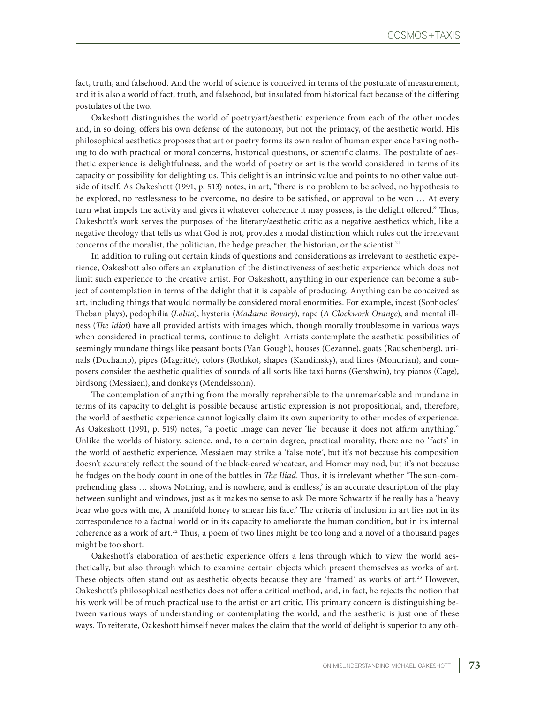fact, truth, and falsehood. And the world of science is conceived in terms of the postulate of measurement, and it is also a world of fact, truth, and falsehood, but insulated from historical fact because of the differing postulates of the two.

Oakeshott distinguishes the world of poetry/art/aesthetic experience from each of the other modes and, in so doing, offers his own defense of the autonomy, but not the primacy, of the aesthetic world. His philosophical aesthetics proposes that art or poetry forms its own realm of human experience having nothing to do with practical or moral concerns, historical questions, or scientific claims. The postulate of aesthetic experience is delightfulness, and the world of poetry or art is the world considered in terms of its capacity or possibility for delighting us. This delight is an intrinsic value and points to no other value outside of itself. As Oakeshott (1991, p. 513) notes, in art, "there is no problem to be solved, no hypothesis to be explored, no restlessness to be overcome, no desire to be satisfied, or approval to be won … At every turn what impels the activity and gives it whatever coherence it may possess, is the delight offered." Thus, Oakeshott's work serves the purposes of the literary/aesthetic critic as a negative aesthetics which, like a negative theology that tells us what God is not, provides a modal distinction which rules out the irrelevant concerns of the moralist, the politician, the hedge preacher, the historian, or the scientist.<sup>21</sup>

In addition to ruling out certain kinds of questions and considerations as irrelevant to aesthetic experience, Oakeshott also offers an explanation of the distinctiveness of aesthetic experience which does not limit such experience to the creative artist. For Oakeshott, anything in our experience can become a subject of contemplation in terms of the delight that it is capable of producing. Anything can be conceived as art, including things that would normally be considered moral enormities. For example, incest (Sophocles' Theban plays), pedophilia (*Lolita*), hysteria (*Madame Bovary*), rape (*A Clockwork Orange*), and mental illness (*The Idiot*) have all provided artists with images which, though morally troublesome in various ways when considered in practical terms, continue to delight. Artists contemplate the aesthetic possibilities of seemingly mundane things like peasant boots (Van Gough), houses (Cezanne), goats (Rauschenberg), urinals (Duchamp), pipes (Magritte), colors (Rothko), shapes (Kandinsky), and lines (Mondrian), and composers consider the aesthetic qualities of sounds of all sorts like taxi horns (Gershwin), toy pianos (Cage), birdsong (Messiaen), and donkeys (Mendelssohn).

The contemplation of anything from the morally reprehensible to the unremarkable and mundane in terms of its capacity to delight is possible because artistic expression is not propositional, and, therefore, the world of aesthetic experience cannot logically claim its own superiority to other modes of experience. As Oakeshott (1991, p. 519) notes, "a poetic image can never 'lie' because it does not affirm anything." Unlike the worlds of history, science, and, to a certain degree, practical morality, there are no 'facts' in the world of aesthetic experience. Messiaen may strike a 'false note', but it's not because his composition doesn't accurately reflect the sound of the black-eared wheatear, and Homer may nod, but it's not because he fudges on the body count in one of the battles in *The Iliad*. Thus, it is irrelevant whether 'The sun-comprehending glass … shows Nothing, and is nowhere, and is endless,' is an accurate description of the play between sunlight and windows, just as it makes no sense to ask Delmore Schwartz if he really has a 'heavy bear who goes with me, A manifold honey to smear his face.' The criteria of inclusion in art lies not in its correspondence to a factual world or in its capacity to ameliorate the human condition, but in its internal coherence as a work of art.22 Thus, a poem of two lines might be too long and a novel of a thousand pages might be too short.

Oakeshott's elaboration of aesthetic experience offers a lens through which to view the world aesthetically, but also through which to examine certain objects which present themselves as works of art. These objects often stand out as aesthetic objects because they are 'framed' as works of art.<sup>23</sup> However, Oakeshott's philosophical aesthetics does not offer a critical method, and, in fact, he rejects the notion that his work will be of much practical use to the artist or art critic. His primary concern is distinguishing between various ways of understanding or contemplating the world, and the aesthetic is just one of these ways. To reiterate, Oakeshott himself never makes the claim that the world of delight is superior to any oth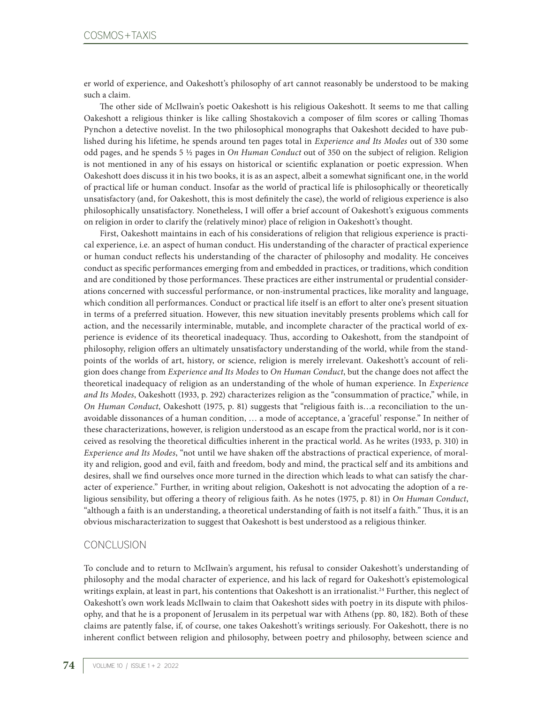er world of experience, and Oakeshott's philosophy of art cannot reasonably be understood to be making such a claim.

The other side of McIlwain's poetic Oakeshott is his religious Oakeshott. It seems to me that calling Oakeshott a religious thinker is like calling Shostakovich a composer of film scores or calling Thomas Pynchon a detective novelist. In the two philosophical monographs that Oakeshott decided to have published during his lifetime, he spends around ten pages total in *Experience and Its Modes* out of 330 some odd pages, and he spends 5 ½ pages in *On Human Conduct* out of 350 on the subject of religion. Religion is not mentioned in any of his essays on historical or scientific explanation or poetic expression. When Oakeshott does discuss it in his two books, it is as an aspect, albeit a somewhat significant one, in the world of practical life or human conduct. Insofar as the world of practical life is philosophically or theoretically unsatisfactory (and, for Oakeshott, this is most definitely the case), the world of religious experience is also philosophically unsatisfactory. Nonetheless, I will offer a brief account of Oakeshott's exiguous comments on religion in order to clarify the (relatively minor) place of religion in Oakeshott's thought.

First, Oakeshott maintains in each of his considerations of religion that religious experience is practical experience, i.e. an aspect of human conduct. His understanding of the character of practical experience or human conduct reflects his understanding of the character of philosophy and modality. He conceives conduct as specific performances emerging from and embedded in practices, or traditions, which condition and are conditioned by those performances. These practices are either instrumental or prudential considerations concerned with successful performance, or non-instrumental practices, like morality and language, which condition all performances. Conduct or practical life itself is an effort to alter one's present situation in terms of a preferred situation. However, this new situation inevitably presents problems which call for action, and the necessarily interminable, mutable, and incomplete character of the practical world of experience is evidence of its theoretical inadequacy. Thus, according to Oakeshott, from the standpoint of philosophy, religion offers an ultimately unsatisfactory understanding of the world, while from the standpoints of the worlds of art, history, or science, religion is merely irrelevant. Oakeshott's account of religion does change from *Experience and Its Modes* to *On Human Conduct*, but the change does not affect the theoretical inadequacy of religion as an understanding of the whole of human experience. In *Experience and Its Modes*, Oakeshott (1933, p. 292) characterizes religion as the "consummation of practice," while, in *On Human Conduct*, Oakeshott (1975, p. 81) suggests that "religious faith is…a reconciliation to the unavoidable dissonances of a human condition, … a mode of acceptance, a 'graceful' response." In neither of these characterizations, however, is religion understood as an escape from the practical world, nor is it conceived as resolving the theoretical difficulties inherent in the practical world. As he writes (1933, p. 310) in *Experience and Its Modes*, "not until we have shaken off the abstractions of practical experience, of morality and religion, good and evil, faith and freedom, body and mind, the practical self and its ambitions and desires, shall we find ourselves once more turned in the direction which leads to what can satisfy the character of experience." Further, in writing about religion, Oakeshott is not advocating the adoption of a religious sensibility, but offering a theory of religious faith. As he notes (1975, p. 81) in *On Human Conduct*, "although a faith is an understanding, a theoretical understanding of faith is not itself a faith." Thus, it is an obvious mischaracterization to suggest that Oakeshott is best understood as a religious thinker.

#### **CONCLUSION**

To conclude and to return to McIlwain's argument, his refusal to consider Oakeshott's understanding of philosophy and the modal character of experience, and his lack of regard for Oakeshott's epistemological writings explain, at least in part, his contentions that Oakeshott is an irrationalist.<sup>24</sup> Further, this neglect of Oakeshott's own work leads McIlwain to claim that Oakeshott sides with poetry in its dispute with philosophy, and that he is a proponent of Jerusalem in its perpetual war with Athens (pp. 80, 182). Both of these claims are patently false, if, of course, one takes Oakeshott's writings seriously. For Oakeshott, there is no inherent conflict between religion and philosophy, between poetry and philosophy, between science and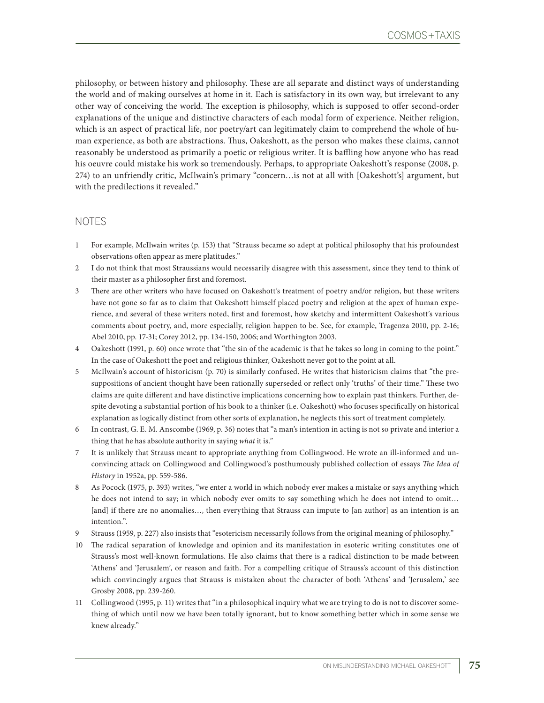philosophy, or between history and philosophy. These are all separate and distinct ways of understanding the world and of making ourselves at home in it. Each is satisfactory in its own way, but irrelevant to any other way of conceiving the world. The exception is philosophy, which is supposed to offer second-order explanations of the unique and distinctive characters of each modal form of experience. Neither religion, which is an aspect of practical life, nor poetry/art can legitimately claim to comprehend the whole of human experience, as both are abstractions. Thus, Oakeshott, as the person who makes these claims, cannot reasonably be understood as primarily a poetic or religious writer. It is baffling how anyone who has read his oeuvre could mistake his work so tremendously. Perhaps, to appropriate Oakeshott's response (2008, p. 274) to an unfriendly critic, McIlwain's primary "concern…is not at all with [Oakeshott's] argument, but with the predilections it revealed."

# NOTES

- 1 For example, McIlwain writes (p. 153) that "Strauss became so adept at political philosophy that his profoundest observations often appear as mere platitudes."
- 2 I do not think that most Straussians would necessarily disagree with this assessment, since they tend to think of their master as a philosopher first and foremost.
- 3 There are other writers who have focused on Oakeshott's treatment of poetry and/or religion, but these writers have not gone so far as to claim that Oakeshott himself placed poetry and religion at the apex of human experience, and several of these writers noted, first and foremost, how sketchy and intermittent Oakeshott's various comments about poetry, and, more especially, religion happen to be. See, for example, Tragenza 2010, pp. 2-16; Abel 2010, pp. 17-31; Corey 2012, pp. 134-150, 2006; and Worthington 2003.
- 4 Oakeshott (1991, p. 60) once wrote that "the sin of the academic is that he takes so long in coming to the point." In the case of Oakeshott the poet and religious thinker, Oakeshott never got to the point at all.
- 5 McIlwain's account of historicism (p. 70) is similarly confused. He writes that historicism claims that "the presuppositions of ancient thought have been rationally superseded or reflect only 'truths' of their time." These two claims are quite different and have distinctive implications concerning how to explain past thinkers. Further, despite devoting a substantial portion of his book to a thinker (i.e. Oakeshott) who focuses specifically on historical explanation as logically distinct from other sorts of explanation, he neglects this sort of treatment completely.
- 6 In contrast, G. E. M. Anscombe (1969, p. 36) notes that "a man's intention in acting is not so private and interior a thing that he has absolute authority in saying *what* it is."
- 7 It is unlikely that Strauss meant to appropriate anything from Collingwood. He wrote an ill-informed and unconvincing attack on Collingwood and Collingwood's posthumously published collection of essays *The Idea of History* in 1952a, pp. 559-586.
- 8 As Pocock (1975, p. 393) writes, "we enter a world in which nobody ever makes a mistake or says anything which he does not intend to say; in which nobody ever omits to say something which he does not intend to omit… [and] if there are no anomalies..., then everything that Strauss can impute to [an author] as an intention is an intention.".
- 9 Strauss (1959, p. 227) also insists that "esotericism necessarily follows from the original meaning of philosophy."
- 10 The radical separation of knowledge and opinion and its manifestation in esoteric writing constitutes one of Strauss's most well-known formulations. He also claims that there is a radical distinction to be made between 'Athens' and 'Jerusalem', or reason and faith. For a compelling critique of Strauss's account of this distinction which convincingly argues that Strauss is mistaken about the character of both 'Athens' and 'Jerusalem,' see Grosby 2008, pp. 239-260.
- 11 Collingwood (1995, p. 11) writes that "in a philosophical inquiry what we are trying to do is not to discover something of which until now we have been totally ignorant, but to know something better which in some sense we knew already."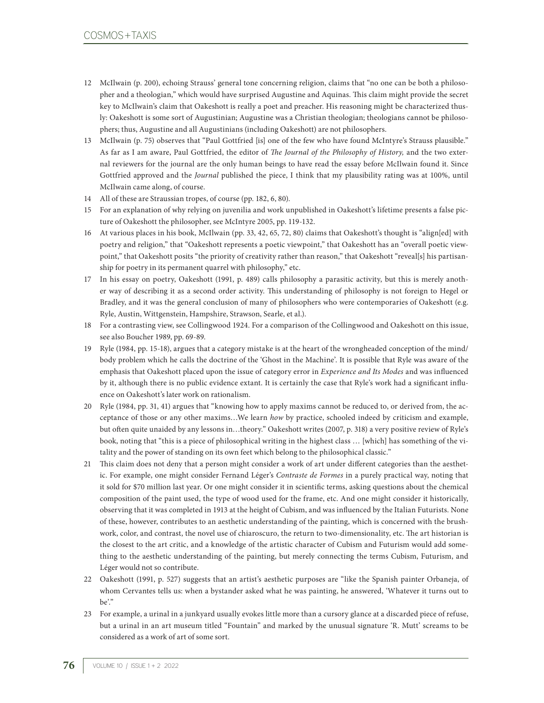- 12 McIlwain (p. 200), echoing Strauss' general tone concerning religion, claims that "no one can be both a philosopher and a theologian," which would have surprised Augustine and Aquinas. This claim might provide the secret key to McIlwain's claim that Oakeshott is really a poet and preacher. His reasoning might be characterized thusly: Oakeshott is some sort of Augustinian; Augustine was a Christian theologian; theologians cannot be philosophers; thus, Augustine and all Augustinians (including Oakeshott) are not philosophers.
- 13 McIlwain (p. 75) observes that "Paul Gottfried [is] one of the few who have found McIntyre's Strauss plausible." As far as I am aware, Paul Gottfried, the editor of *The Journal of the Philosophy of History,* and the two external reviewers for the journal are the only human beings to have read the essay before McIlwain found it. Since Gottfried approved and the *Journal* published the piece, I think that my plausibility rating was at 100%, until McIlwain came along, of course.
- 14 All of these are Straussian tropes, of course (pp. 182, 6, 80).
- 15 For an explanation of why relying on juvenilia and work unpublished in Oakeshott's lifetime presents a false picture of Oakeshott the philosopher, see McIntyre 2005, pp. 119-132.
- 16 At various places in his book, McIlwain (pp. 33, 42, 65, 72, 80) claims that Oakeshott's thought is "align[ed] with poetry and religion," that "Oakeshott represents a poetic viewpoint," that Oakeshott has an "overall poetic viewpoint," that Oakeshott posits "the priority of creativity rather than reason," that Oakeshott "reveal[s] his partisanship for poetry in its permanent quarrel with philosophy," etc.
- 17 In his essay on poetry, Oakeshott (1991, p. 489) calls philosophy a parasitic activity, but this is merely another way of describing it as a second order activity. This understanding of philosophy is not foreign to Hegel or Bradley, and it was the general conclusion of many of philosophers who were contemporaries of Oakeshott (e.g. Ryle, Austin, Wittgenstein, Hampshire, Strawson, Searle, et al.).
- 18 For a contrasting view, see Collingwood 1924. For a comparison of the Collingwood and Oakeshott on this issue, see also Boucher 1989, pp. 69-89.
- 19 Ryle (1984, pp. 15-18), argues that a category mistake is at the heart of the wrongheaded conception of the mind/ body problem which he calls the doctrine of the 'Ghost in the Machine'. It is possible that Ryle was aware of the emphasis that Oakeshott placed upon the issue of category error in *Experience and Its Modes* and was influenced by it, although there is no public evidence extant. It is certainly the case that Ryle's work had a significant influence on Oakeshott's later work on rationalism.
- 20 Ryle (1984, pp. 31, 41) argues that "knowing how to apply maxims cannot be reduced to, or derived from, the acceptance of those or any other maxims…We learn *how* by practice, schooled indeed by criticism and example, but often quite unaided by any lessons in…theory." Oakeshott writes (2007, p. 318) a very positive review of Ryle's book, noting that "this is a piece of philosophical writing in the highest class … [which] has something of the vitality and the power of standing on its own feet which belong to the philosophical classic."
- 21 This claim does not deny that a person might consider a work of art under different categories than the aesthetic. For example, one might consider Fernand Léger's *Contraste de Formes* in a purely practical way, noting that it sold for \$70 million last year. Or one might consider it in scientific terms, asking questions about the chemical composition of the paint used, the type of wood used for the frame, etc. And one might consider it historically, observing that it was completed in 1913 at the height of Cubism, and was influenced by the Italian Futurists. None of these, however, contributes to an aesthetic understanding of the painting, which is concerned with the brushwork, color, and contrast, the novel use of chiaroscuro, the return to two-dimensionality, etc. The art historian is the closest to the art critic, and a knowledge of the artistic character of Cubism and Futurism would add something to the aesthetic understanding of the painting, but merely connecting the terms Cubism, Futurism, and Léger would not so contribute.
- 22 Oakeshott (1991, p. 527) suggests that an artist's aesthetic purposes are "like the Spanish painter Orbaneja, of whom Cervantes tells us: when a bystander asked what he was painting, he answered, 'Whatever it turns out to be'."
- 23 For example, a urinal in a junkyard usually evokes little more than a cursory glance at a discarded piece of refuse, but a urinal in an art museum titled "Fountain" and marked by the unusual signature 'R. Mutt' screams to be considered as a work of art of some sort.